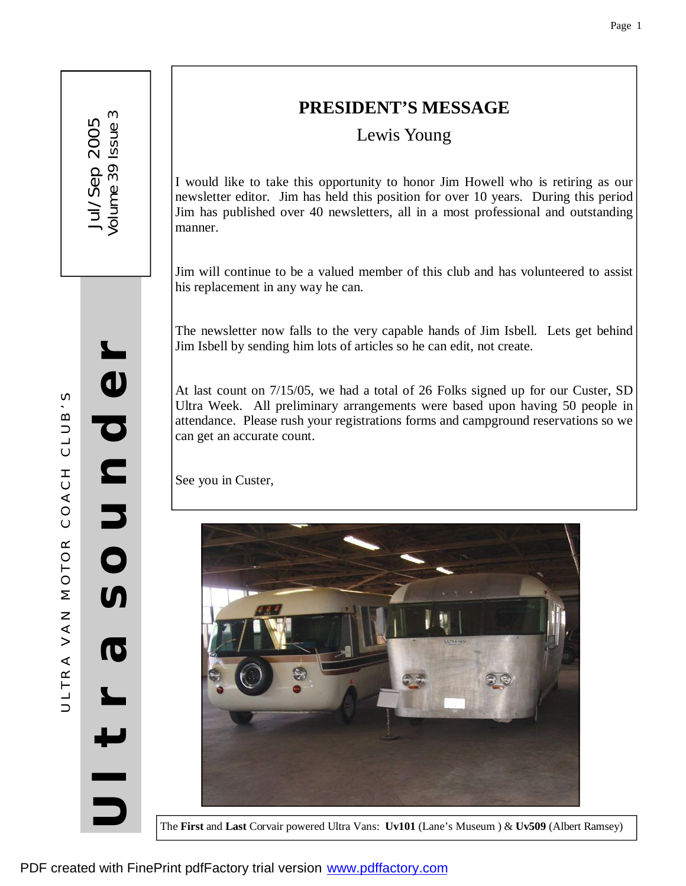**U**

**l**

**t**

**r**

**a**

**S** 

**o**

**u**

**n**

**d** 

**e**

**r**

# **PRESIDENT'S MESSAGE**

Lewis Young

I would like to take this opportunity to honor Jim Howell who is retiring as our newsletter editor. Jim has held this position for over 10 years. During this period Jim has published over 40 newsletters, all in a most professional and outstanding manner.

Jim will continue to be a valued member of this club and has volunteered to assist his replacement in any way he can.

The newsletter now falls to the very capable hands of Jim Isbell. Lets get behind Jim Isbell by sending him lots of articles so he can edit, not create.

At last count on 7/15/05, we had a total of 26 Folks signed up for our Custer, SD Ultra Week. All preliminary arrangements were based upon having 50 people in attendance. Please rush your registrations forms and campground reservations so we can get an accurate count.

See you in Custer,



The **First** and **Last** Corvair powered Ultra Vans: **Uv101** (Lane's Museum ) & **Uv509** (Albert Ramsey)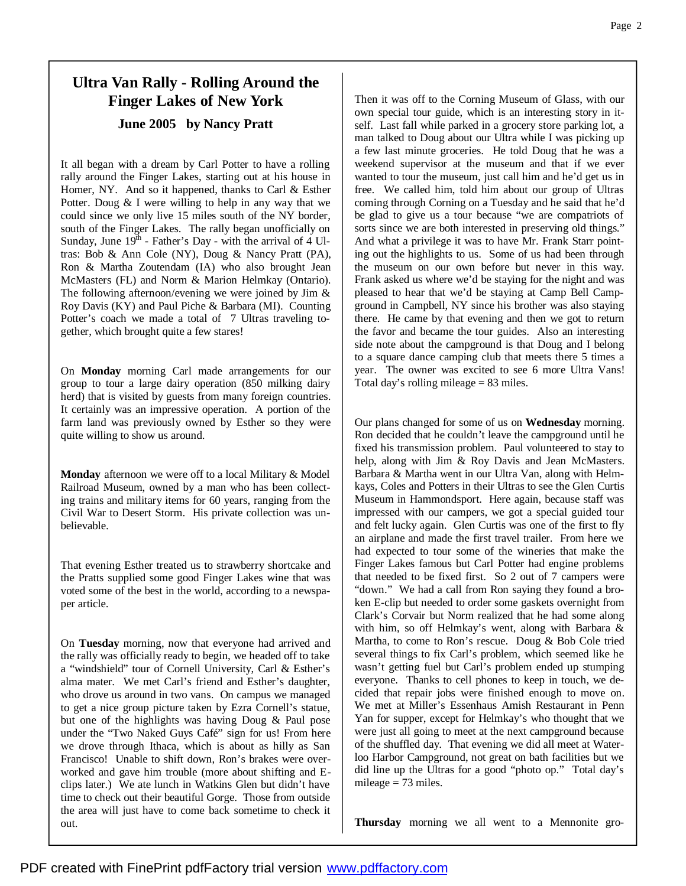## **Ultra Van Rally - Rolling Around the Finger Lakes of New York June 2005 by Nancy Pratt**

It all began with a dream by Carl Potter to have a rolling rally around the Finger Lakes, starting out at his house in Homer, NY. And so it happened, thanks to Carl & Esther Potter. Doug & I were willing to help in any way that we could since we only live 15 miles south of the NY border, south of the Finger Lakes. The rally began unofficially on Sunday, June  $19<sup>th</sup>$  - Father's Day - with the arrival of 4 Ultras: Bob & Ann Cole (NY), Doug & Nancy Pratt (PA), Ron & Martha Zoutendam (IA) who also brought Jean McMasters (FL) and Norm & Marion Helmkay (Ontario). The following afternoon/evening we were joined by Jim  $\&$ Roy Davis (KY) and Paul Piche & Barbara (MI). Counting Potter's coach we made a total of 7 Ultras traveling together, which brought quite a few stares!

On **Monday** morning Carl made arrangements for our group to tour a large dairy operation (850 milking dairy herd) that is visited by guests from many foreign countries. It certainly was an impressive operation. A portion of the farm land was previously owned by Esther so they were quite willing to show us around.

**Monday** afternoon we were off to a local Military & Model Railroad Museum, owned by a man who has been collecting trains and military items for 60 years, ranging from the Civil War to Desert Storm. His private collection was unbelievable.

That evening Esther treated us to strawberry shortcake and the Pratts supplied some good Finger Lakes wine that was voted some of the best in the world, according to a newspaper article.

On **Tuesday** morning, now that everyone had arrived and the rally was officially ready to begin, we headed off to take a "windshield" tour of Cornell University, Carl & Esther's alma mater. We met Carl's friend and Esther's daughter, who drove us around in two vans. On campus we managed to get a nice group picture taken by Ezra Cornell's statue, but one of the highlights was having Doug & Paul pose under the "Two Naked Guys Café" sign for us! From here we drove through Ithaca, which is about as hilly as San Francisco! Unable to shift down, Ron's brakes were overworked and gave him trouble (more about shifting and Eclips later.) We ate lunch in Watkins Glen but didn't have time to check out their beautiful Gorge. Those from outside the area will just have to come back sometime to check it out.

Then it was off to the Corning Museum of Glass, with our own special tour guide, which is an interesting story in itself. Last fall while parked in a grocery store parking lot, a man talked to Doug about our Ultra while I was picking up a few last minute groceries. He told Doug that he was a weekend supervisor at the museum and that if we ever wanted to tour the museum, just call him and he'd get us in free. We called him, told him about our group of Ultras coming through Corning on a Tuesday and he said that he'd be glad to give us a tour because "we are compatriots of sorts since we are both interested in preserving old things." And what a privilege it was to have Mr. Frank Starr pointing out the highlights to us. Some of us had been through the museum on our own before but never in this way. Frank asked us where we'd be staying for the night and was pleased to hear that we'd be staying at Camp Bell Campground in Campbell, NY since his brother was also staying there. He came by that evening and then we got to return the favor and became the tour guides. Also an interesting side note about the campground is that Doug and I belong to a square dance camping club that meets there 5 times a year. The owner was excited to see 6 more Ultra Vans! Total day's rolling mileage = 83 miles.

Our plans changed for some of us on **Wednesday** morning. Ron decided that he couldn't leave the campground until he fixed his transmission problem. Paul volunteered to stay to help, along with Jim & Roy Davis and Jean McMasters. Barbara & Martha went in our Ultra Van, along with Helmkays, Coles and Potters in their Ultras to see the Glen Curtis Museum in Hammondsport. Here again, because staff was impressed with our campers, we got a special guided tour and felt lucky again. Glen Curtis was one of the first to fly an airplane and made the first travel trailer. From here we had expected to tour some of the wineries that make the Finger Lakes famous but Carl Potter had engine problems that needed to be fixed first. So 2 out of 7 campers were "down." We had a call from Ron saying they found a broken E-clip but needed to order some gaskets overnight from Clark's Corvair but Norm realized that he had some along with him, so off Helmkay's went, along with Barbara & Martha, to come to Ron's rescue. Doug & Bob Cole tried several things to fix Carl's problem, which seemed like he wasn't getting fuel but Carl's problem ended up stumping everyone. Thanks to cell phones to keep in touch, we decided that repair jobs were finished enough to move on. We met at Miller's Essenhaus Amish Restaurant in Penn Yan for supper, except for Helmkay's who thought that we were just all going to meet at the next campground because of the shuffled day. That evening we did all meet at Waterloo Harbor Campground, not great on bath facilities but we did line up the Ultras for a good "photo op." Total day's mileage  $= 73$  miles.

**Thursday** morning we all went to a Mennonite gro-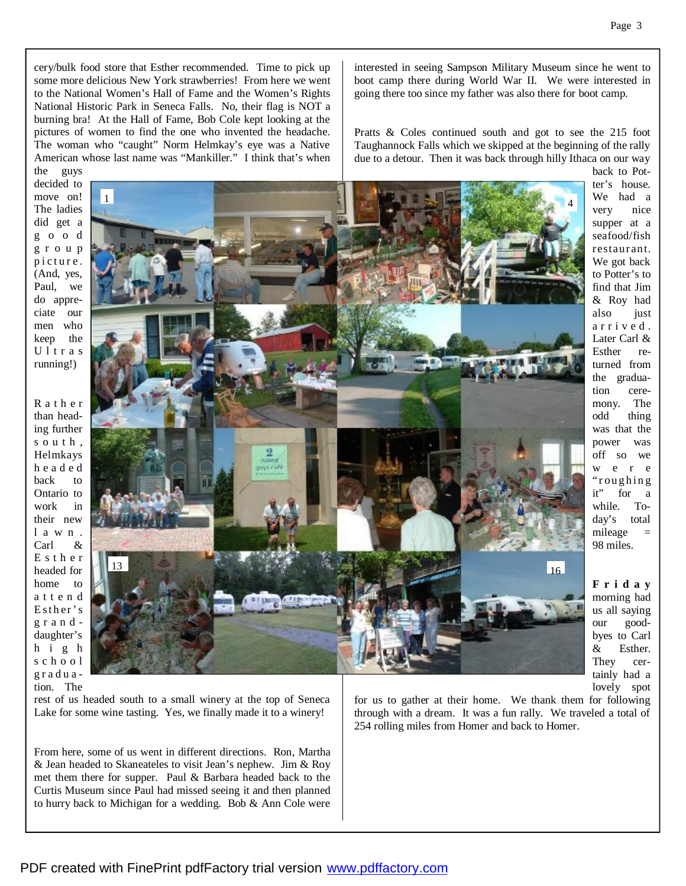cery/bulk food store that Esther recommended. Time to pick up some more delicious New York strawberries! From here we went to the National Women's Hall of Fame and the Women's Rights National Historic Park in Seneca Falls. No, their flag is NOT a burning bra! At the Hall of Fame, Bob Cole kept looking at the pictures of women to find the one who invented the headache. The woman who "caught" Norm Helmkay's eye was a Native American whose last name was "Mankiller." I think that's when interested in seeing Sampson Military Museum since he went to boot camp there during World War II. We were interested in going there too since my father was also there for boot camp.

Pratts & Coles continued south and got to see the 215 foot Taughannock Falls which we skipped at the beginning of the rally due to a detour. Then it was back through hilly Ithaca on our way

the guys decided to move on! The ladies did get a g o o d g r o u p p i c t u r e . (And, yes, Paul, we do appreciate our men who keep the Ultras running!)

R a t h e r than heading further s o u t h , Helmkays h e a d e d back to Ontario to work in their new l a w n . Carl & E s t h e r headed for home to a t t e n d Esther's g r a n d daughter's h i g h s c h o o l g r a d uation. The



back to Potter's house. We had a very nice supper at a seafood/fish r estaur ant. We got back to Potter's to find that Jim & Roy had also just a rri ved . Later Carl & Esther returned from the graduation ceremony. The odd thing was that the power was off so we w e r e " roughing it" for a while. Today's total  $mileage =$ 98 miles.

**F r i d a y**  morning had us all saying our goodbyes to Carl & Esther. They certainly had a lovely spot

rest of us headed south to a small winery at the top of Seneca Lake for some wine tasting. Yes, we finally made it to a winery!

From here, some of us went in different directions. Ron, Martha & Jean headed to Skaneateles to visit Jean's nephew. Jim & Roy met them there for supper. Paul & Barbara headed back to the Curtis Museum since Paul had missed seeing it and then planned to hurry back to Michigan for a wedding. Bob & Ann Cole were

for us to gather at their home. We thank them for following through with a dream. It was a fun rally. We traveled a total of 254 rolling miles from Homer and back to Homer.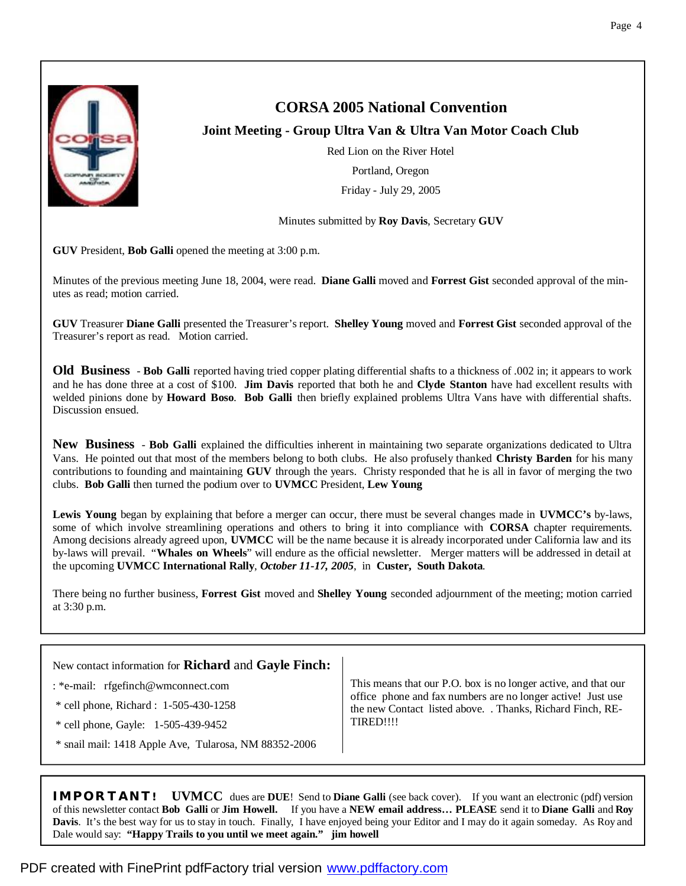

## **CORSA 2005 National Convention**

## **Joint Meeting - Group Ultra Van & Ultra Van Motor Coach Club**

Red Lion on the River Hotel Portland, Oregon Friday - July 29, 2005

Minutes submitted by **Roy Davis**, Secretary **GUV**

**GUV** President, **Bob Galli** opened the meeting at 3:00 p.m.

Minutes of the previous meeting June 18, 2004, were read. **Diane Galli** moved and **Forrest Gist** seconded approval of the minutes as read; motion carried.

**GUV** Treasurer **Diane Galli** presented the Treasurer's report. **Shelley Young** moved and **Forrest Gist** seconded approval of the Treasurer's report as read. Motion carried.

**Old Business** - **Bob Galli** reported having tried copper plating differential shafts to a thickness of .002 in; it appears to work and he has done three at a cost of \$100. **Jim Davis** reported that both he and **Clyde Stanton** have had excellent results with welded pinions done by **Howard Boso**. **Bob Galli** then briefly explained problems Ultra Vans have with differential shafts. Discussion ensued.

**New Business** - **Bob Galli** explained the difficulties inherent in maintaining two separate organizations dedicated to Ultra Vans. He pointed out that most of the members belong to both clubs. He also profusely thanked **Christy Barden** for his many contributions to founding and maintaining **GUV** through the years. Christy responded that he is all in favor of merging the two clubs. **Bob Galli** then turned the podium over to **UVMCC** President, **Lew Young**

**Lewis Young** began by explaining that before a merger can occur, there must be several changes made in **UVMCC's** by-laws, some of which involve streamlining operations and others to bring it into compliance with **CORSA** chapter requirements. Among decisions already agreed upon, **UVMCC** will be the name because it is already incorporated under California law and its by-laws will prevail. "**Whales on Wheels**" will endure as the official newsletter. Merger matters will be addressed in detail at the upcoming **UVMCC International Rally**, *October 11-17, 2005*, in **Custer, South Dakota**.

There being no further business, **Forrest Gist** moved and **Shelley Young** seconded adjournment of the meeting; motion carried at 3:30 p.m.

| New contact information for Richard and Gayle Finch:  |                                                                                                                                                                                                          |
|-------------------------------------------------------|----------------------------------------------------------------------------------------------------------------------------------------------------------------------------------------------------------|
| : *e-mail: $rfgefinch@wmconnect.com$                  | This means that our P.O. box is no longer active, and that our<br>office phone and fax numbers are no longer active! Just use<br>the new Contact listed above. . Thanks, Richard Finch, RE-<br>TIRED!!!! |
| * cell phone, Richard : 1-505-430-1258                |                                                                                                                                                                                                          |
| * cell phone, Gayle: 1-505-439-9452                   |                                                                                                                                                                                                          |
| * snail mail: 1418 Apple Ave, Tularosa, NM 88352-2006 |                                                                                                                                                                                                          |

**IMPORTANT! UVMCC** dues are **DUE**! Send to **Diane Galli** (see back cover). If you want an electronic (pdf) version of this newsletter contact **Bob Galli** or **Jim Howell.** If you have a **NEW email address… PLEASE** send it to **Diane Galli** and **Roy Davis**. It's the best way for us to stay in touch. Finally, I have enjoyed being your Editor and I may do it again someday. As Roy and Dale would say: **"Happy Trails to you until we meet again." jim howell**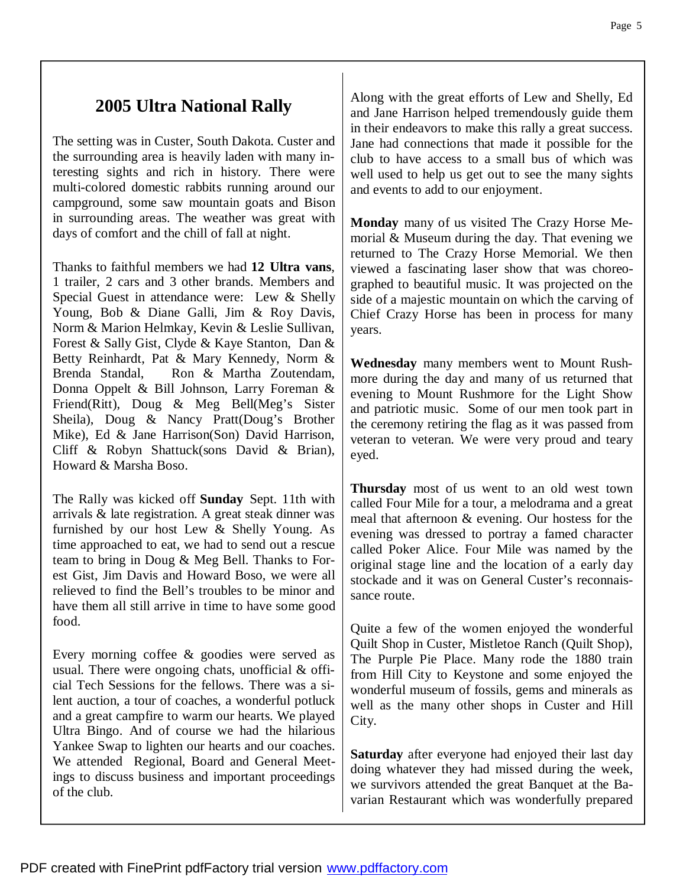# **2005 Ultra National Rally**

The setting was in Custer, South Dakota. Custer and the surrounding area is heavily laden with many interesting sights and rich in history. There were multi-colored domestic rabbits running around our campground, some saw mountain goats and Bison in surrounding areas. The weather was great with days of comfort and the chill of fall at night.

Thanks to faithful members we had **12 Ultra vans**, 1 trailer, 2 cars and 3 other brands. Members and Special Guest in attendance were: Lew & Shelly Young, Bob & Diane Galli, Jim & Roy Davis, Norm & Marion Helmkay, Kevin & Leslie Sullivan, Forest & Sally Gist, Clyde & Kaye Stanton, Dan & Betty Reinhardt, Pat & Mary Kennedy, Norm & Brenda Standal, Ron & Martha Zoutendam, Donna Oppelt & Bill Johnson, Larry Foreman & Friend(Ritt), Doug & Meg Bell(Meg's Sister Sheila), Doug & Nancy Pratt(Doug's Brother Mike), Ed & Jane Harrison(Son) David Harrison, Cliff & Robyn Shattuck(sons David & Brian), Howard & Marsha Boso.

The Rally was kicked off **Sunday** Sept. 11th with arrivals & late registration. A great steak dinner was furnished by our host Lew & Shelly Young. As time approached to eat, we had to send out a rescue team to bring in Doug & Meg Bell. Thanks to Forest Gist, Jim Davis and Howard Boso, we were all relieved to find the Bell's troubles to be minor and have them all still arrive in time to have some good food.

Every morning coffee & goodies were served as usual. There were ongoing chats, unofficial & official Tech Sessions for the fellows. There was a silent auction, a tour of coaches, a wonderful potluck and a great campfire to warm our hearts. We played Ultra Bingo. And of course we had the hilarious Yankee Swap to lighten our hearts and our coaches. We attended Regional, Board and General Meetings to discuss business and important proceedings of the club.

Along with the great efforts of Lew and Shelly, Ed and Jane Harrison helped tremendously guide them in their endeavors to make this rally a great success. Jane had connections that made it possible for the club to have access to a small bus of which was well used to help us get out to see the many sights and events to add to our enjoyment.

**Monday** many of us visited The Crazy Horse Memorial & Museum during the day. That evening we returned to The Crazy Horse Memorial. We then viewed a fascinating laser show that was choreographed to beautiful music. It was projected on the side of a majestic mountain on which the carving of Chief Crazy Horse has been in process for many years.

**Wednesday** many members went to Mount Rushmore during the day and many of us returned that evening to Mount Rushmore for the Light Show and patriotic music. Some of our men took part in the ceremony retiring the flag as it was passed from veteran to veteran. We were very proud and teary eyed.

**Thursday** most of us went to an old west town called Four Mile for a tour, a melodrama and a great meal that afternoon & evening. Our hostess for the evening was dressed to portray a famed character called Poker Alice. Four Mile was named by the original stage line and the location of a early day stockade and it was on General Custer's reconnaissance route.

Quite a few of the women enjoyed the wonderful Quilt Shop in Custer, Mistletoe Ranch (Quilt Shop), The Purple Pie Place. Many rode the 1880 train from Hill City to Keystone and some enjoyed the wonderful museum of fossils, gems and minerals as well as the many other shops in Custer and Hill City.

**Saturday** after everyone had enjoyed their last day doing whatever they had missed during the week, we survivors attended the great Banquet at the Bavarian Restaurant which was wonderfully prepared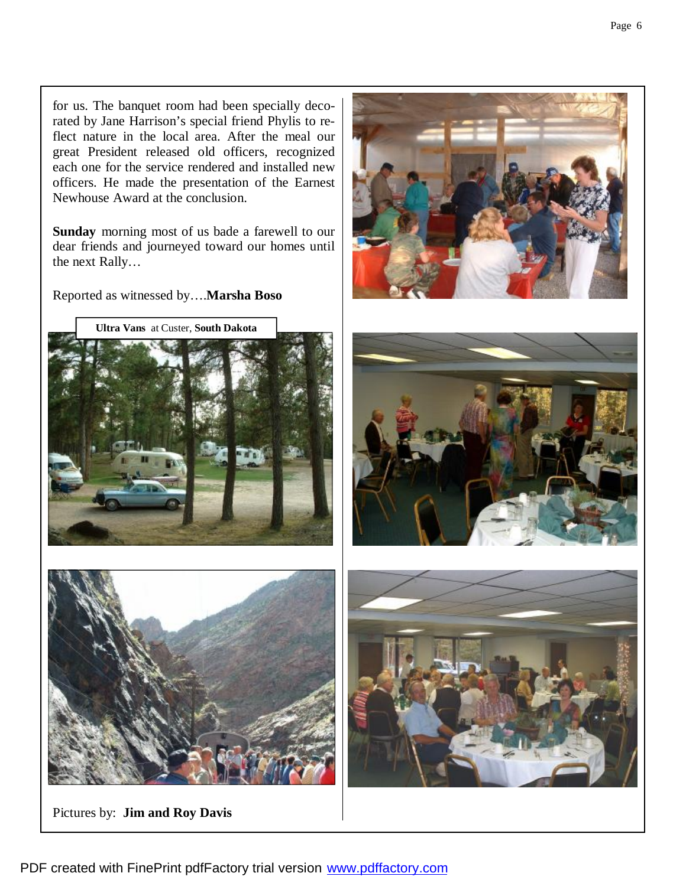for us. The banquet room had been specially decorated by Jane Harrison's special friend Phylis to reflect nature in the local area. After the meal our great President released old officers, recognized each one for the service rendered and installed new officers. He made the presentation of the Earnest Newhouse Award at the conclusion.

**Sunday** morning most of us bade a farewell to our dear friends and journeyed toward our homes until the next Rally…

Reported as witnessed by….**Marsha Boso**





Pictures by: **Jim and Roy Davis**





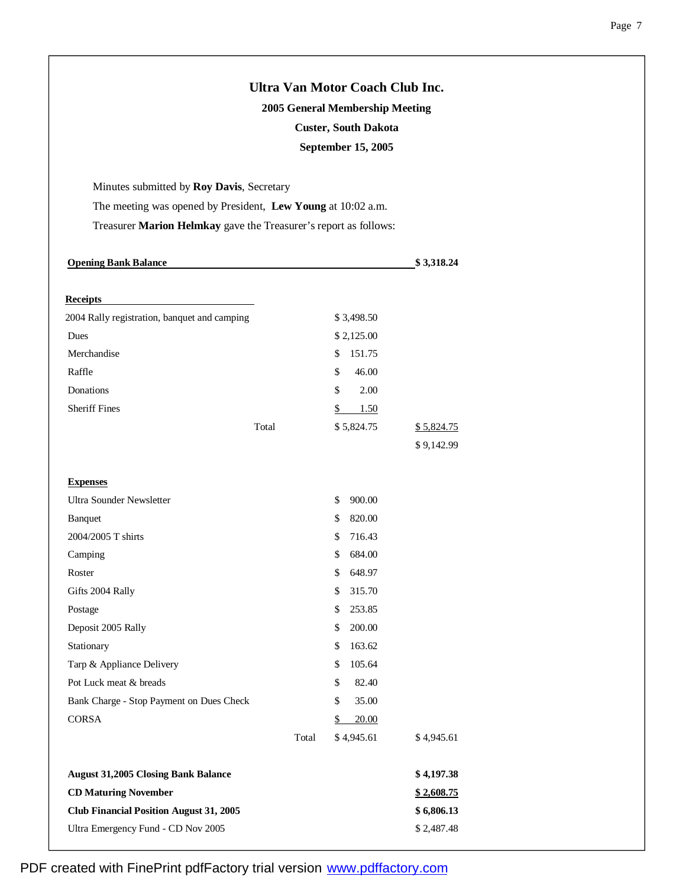|                                                                  | Ultra Van Motor Coach Club Inc. |            |  |  |  |
|------------------------------------------------------------------|---------------------------------|------------|--|--|--|
|                                                                  | 2005 General Membership Meeting |            |  |  |  |
| <b>Custer, South Dakota</b><br>September 15, 2005                |                                 |            |  |  |  |
|                                                                  |                                 |            |  |  |  |
| Minutes submitted by Roy Davis, Secretary                        |                                 |            |  |  |  |
| The meeting was opened by President, Lew Young at 10:02 a.m.     |                                 |            |  |  |  |
| Treasurer Marion Helmkay gave the Treasurer's report as follows: |                                 |            |  |  |  |
| <b>Opening Bank Balance</b>                                      |                                 | \$3,318.24 |  |  |  |
| <b>Receipts</b>                                                  |                                 |            |  |  |  |
| 2004 Rally registration, banquet and camping                     | \$3,498.50                      |            |  |  |  |
| Dues                                                             | \$2,125.00                      |            |  |  |  |
| Merchandise                                                      | \$<br>151.75                    |            |  |  |  |
| Raffle                                                           | \$<br>46.00                     |            |  |  |  |
| Donations                                                        | \$<br>2.00                      |            |  |  |  |
| <b>Sheriff Fines</b>                                             | \$<br>1.50                      |            |  |  |  |
| Total                                                            | \$5,824.75                      | \$5,824.75 |  |  |  |
|                                                                  |                                 | \$9,142.99 |  |  |  |
| <b>Expenses</b>                                                  |                                 |            |  |  |  |
| Ultra Sounder Newsletter                                         | 900.00<br>\$                    |            |  |  |  |
| Banquet                                                          | \$<br>820.00                    |            |  |  |  |
| 2004/2005 T shirts                                               | 716.43<br>\$                    |            |  |  |  |
| Camping                                                          | 684.00<br>\$                    |            |  |  |  |
| Roster                                                           | 648.97<br>\$                    |            |  |  |  |
| Gifts 2004 Rally                                                 | \$<br>315.70                    |            |  |  |  |
| Postage                                                          | \$<br>253.85                    |            |  |  |  |
| Deposit 2005 Rally                                               | \$<br>200.00                    |            |  |  |  |
| Stationary                                                       | 163.62<br>\$                    |            |  |  |  |
| Tarp & Appliance Delivery                                        | 105.64<br>\$                    |            |  |  |  |
| Pot Luck meat & breads                                           | \$<br>82.40                     |            |  |  |  |
| Bank Charge - Stop Payment on Dues Check                         | \$<br>35.00                     |            |  |  |  |
| CORSA                                                            | 20.00<br>\$                     |            |  |  |  |
|                                                                  | \$4,945.61<br>Total             | \$4,945.61 |  |  |  |
| <b>August 31,2005 Closing Bank Balance</b>                       |                                 | \$4,197.38 |  |  |  |
| <b>CD Maturing November</b>                                      |                                 | \$2,608.75 |  |  |  |
| <b>Club Financial Position August 31, 2005</b>                   |                                 | \$6,806.13 |  |  |  |
| Ultra Emergency Fund - CD Nov 2005                               |                                 | \$2,487.48 |  |  |  |

PDF created with FinePrint pdfFactory trial version [www.pdffactory.com](http://www.pdffactory.com)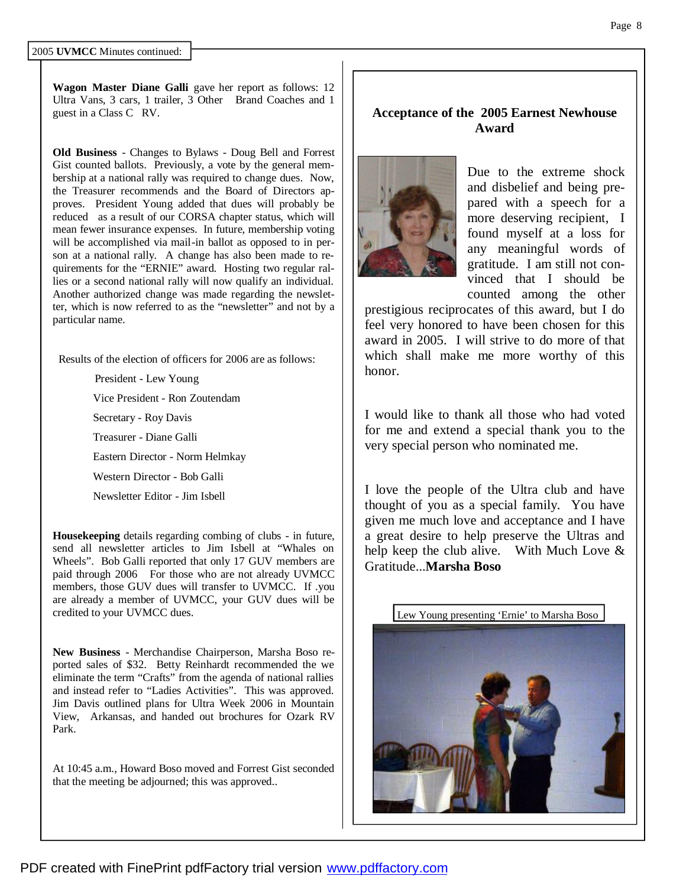**Wagon Master Diane Galli** gave her report as follows: 12 Ultra Vans, 3 cars, 1 trailer, 3 Other Brand Coaches and 1 guest in a Class C RV.

**Old Business** - Changes to Bylaws - Doug Bell and Forrest Gist counted ballots. Previously, a vote by the general membership at a national rally was required to change dues. Now, the Treasurer recommends and the Board of Directors approves. President Young added that dues will probably be reduced as a result of our CORSA chapter status, which will mean fewer insurance expenses. In future, membership voting will be accomplished via mail-in ballot as opposed to in person at a national rally. A change has also been made to requirements for the "ERNIE" award. Hosting two regular rallies or a second national rally will now qualify an individual. Another authorized change was made regarding the newsletter, which is now referred to as the "newsletter" and not by a particular name.

Results of the election of officers for 2006 are as follows:

 President - Lew Young Vice President - Ron Zoutendam Secretary - Roy Davis Treasurer - Diane Galli Eastern Director - Norm Helmkay Western Director - Bob Galli Newsletter Editor - Jim Isbell

**Housekeeping** details regarding combing of clubs - in future, send all newsletter articles to Jim Isbell at "Whales on Wheels". Bob Galli reported that only 17 GUV members are paid through 2006 For those who are not already UVMCC members, those GUV dues will transfer to UVMCC. If .you are already a member of UVMCC, your GUV dues will be credited to your UVMCC dues.

**New Business** - Merchandise Chairperson, Marsha Boso reported sales of \$32. Betty Reinhardt recommended the we eliminate the term "Crafts" from the agenda of national rallies and instead refer to "Ladies Activities". This was approved. Jim Davis outlined plans for Ultra Week 2006 in Mountain View, Arkansas, and handed out brochures for Ozark RV Park.

At 10:45 a.m., Howard Boso moved and Forrest Gist seconded that the meeting be adjourned; this was approved..

## **Acceptance of the 2005 Earnest Newhouse Award**



Due to the extreme shock and disbelief and being prepared with a speech for a more deserving recipient, I found myself at a loss for any meaningful words of gratitude. I am still not convinced that I should be counted among the other

prestigious reciprocates of this award, but I do feel very honored to have been chosen for this award in 2005. I will strive to do more of that which shall make me more worthy of this honor.

I would like to thank all those who had voted for me and extend a special thank you to the very special person who nominated me.

I love the people of the Ultra club and have thought of you as a special family. You have given me much love and acceptance and I have a great desire to help preserve the Ultras and help keep the club alive. With Much Love & Gratitude...**Marsha Boso**

Lew Young presenting 'Ernie' to Marsha Boso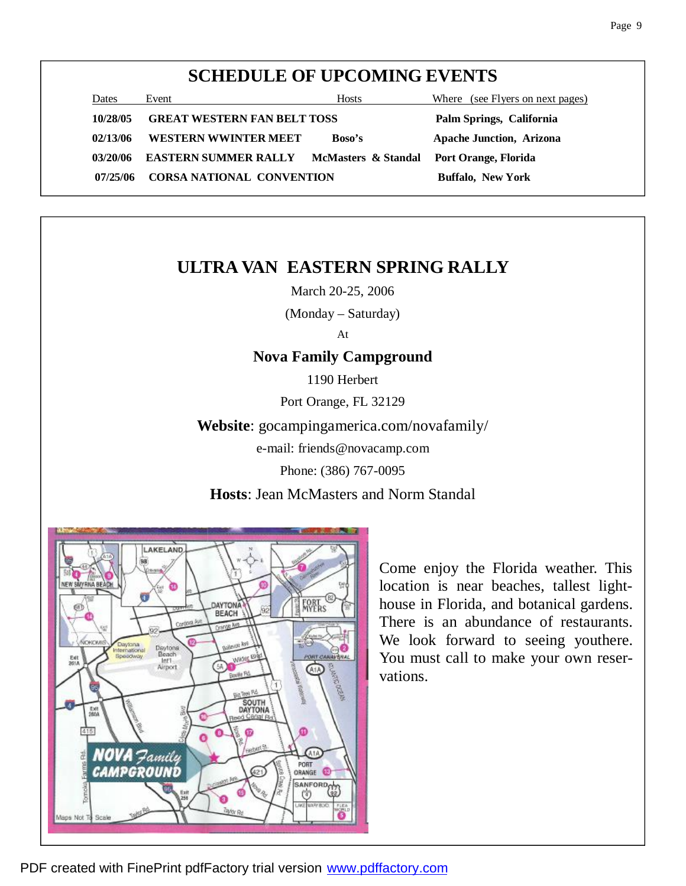# **SCHEDULE OF UPCOMING EVENTS**

| Dates    | Event                              | Hosts                                    | Where (see Flyers on next pages) |
|----------|------------------------------------|------------------------------------------|----------------------------------|
| 10/28/05 | <b>GREAT WESTERN FAN BELT TOSS</b> |                                          | Palm Springs, California         |
| 02/13/06 | WESTERN WWINTER MEET               | <b>Boso's</b>                            | <b>Apache Junction, Arizona</b>  |
| 03/20/06 | <b>EASTERN SUMMER RALLY</b>        | McMasters & Standal Port Orange, Florida |                                  |
| 07/25/06 | <b>CORSA NATIONAL CONVENTION</b>   |                                          | <b>Buffalo, New York</b>         |

# **ULTRA VAN EASTERN SPRING RALLY**

March 20-25, 2006

(Monday – Saturday)

At

## **Nova Family Campground**

1190 Herbert

Port Orange, FL 32129

**Website**: gocampingamerica.com/novafamily/

e-mail: friends@novacamp.com

Phone: (386) 767-0095

**Hosts**: Jean McMasters and Norm Standal



Come enjoy the Florida weather. This location is near beaches, tallest lighthouse in Florida, and botanical gardens. There is an abundance of restaurants. We look forward to seeing youthere. You must call to make your own reservations.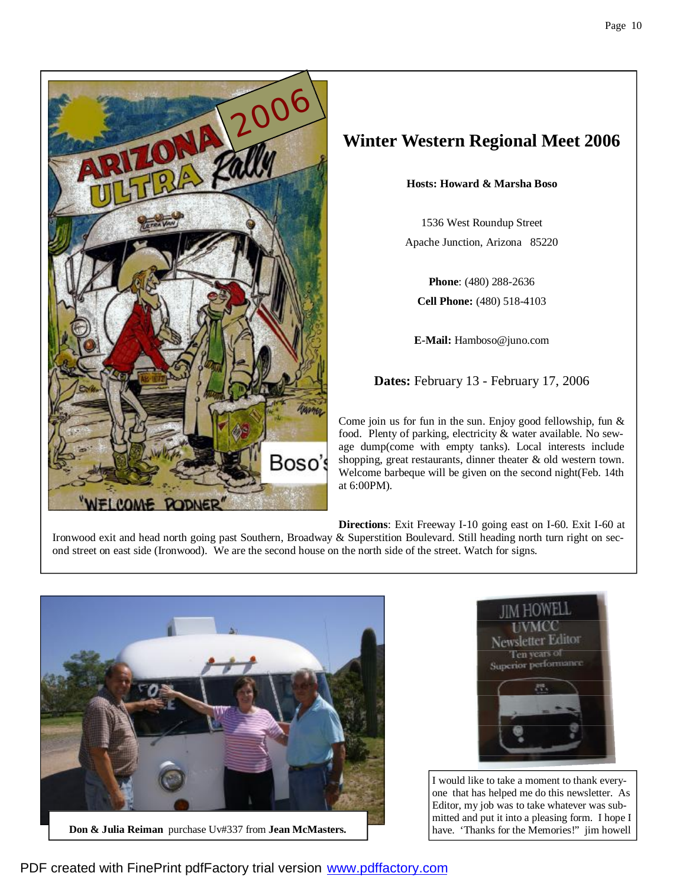



# **Winter Western Regional Meet 2006**

**Hosts: Howard & Marsha Boso**

1536 West Roundup Street Apache Junction, Arizona 85220

**Phone**: (480) 288-2636 **Cell Phone:** (480) 518-4103

**E-Mail:** Hamboso@juno.com

**Dates:** February 13 - February 17, 2006

Come join us for fun in the sun. Enjoy good fellowship, fun & food. Plenty of parking, electricity & water available. No sewage dump(come with empty tanks). Local interests include shopping, great restaurants, dinner theater & old western town. Welcome barbeque will be given on the second night(Feb. 14th at 6:00PM).

**Directions**: Exit Freeway I-10 going east on I-60. Exit I-60 at Ironwood exit and head north going past Southern, Broadway & Superstition Boulevard. Still heading north turn right on second street on east side (Ironwood). We are the second house on the north side of the street. Watch for signs.



**Don & Julia Reiman** purchase Uv#337 from **Jean McMasters.**



I would like to take a moment to thank everyone that has helped me do this newsletter. As Editor, my job was to take whatever was submitted and put it into a pleasing form. I hope I have. 'Thanks for the Memories!" jim howell

PDF created with FinePrint pdfFactory trial version [www.pdffactory.com](http://www.pdffactory.com)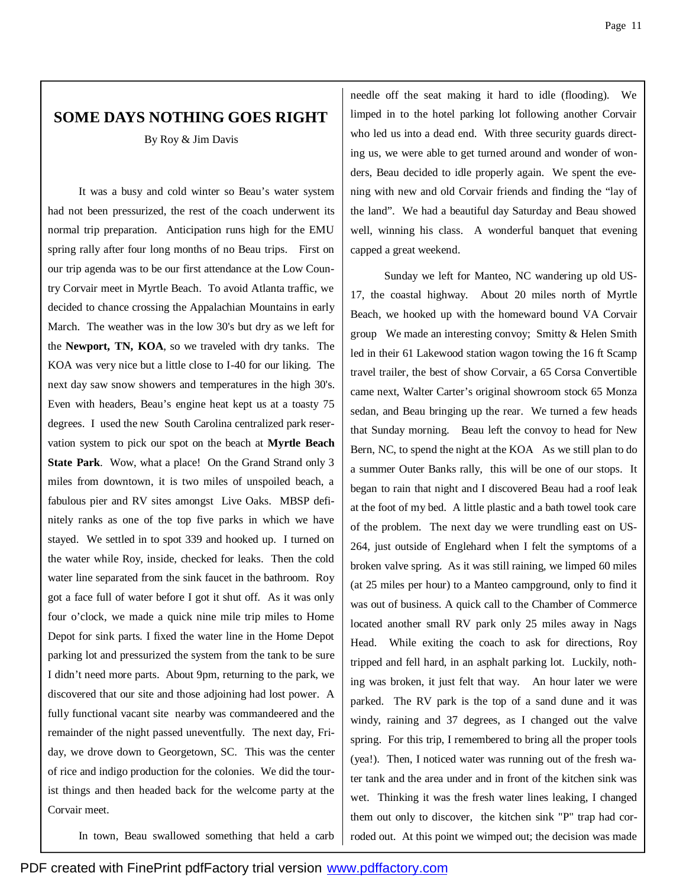# **SOME DAYS NOTHING GOES RIGHT**

By Roy & Jim Davis

 It was a busy and cold winter so Beau's water system had not been pressurized, the rest of the coach underwent its normal trip preparation. Anticipation runs high for the EMU spring rally after four long months of no Beau trips. First on our trip agenda was to be our first attendance at the Low Country Corvair meet in Myrtle Beach. To avoid Atlanta traffic, we decided to chance crossing the Appalachian Mountains in early March. The weather was in the low 30's but dry as we left for the **Newport, TN, KOA**, so we traveled with dry tanks. The KOA was very nice but a little close to I-40 for our liking. The next day saw snow showers and temperatures in the high 30's. Even with headers, Beau's engine heat kept us at a toasty 75 degrees. I used the new South Carolina centralized park reservation system to pick our spot on the beach at **Myrtle Beach State Park**. Wow, what a place! On the Grand Strand only 3 miles from downtown, it is two miles of unspoiled beach, a fabulous pier and RV sites amongst Live Oaks. MBSP definitely ranks as one of the top five parks in which we have stayed. We settled in to spot 339 and hooked up. I turned on the water while Roy, inside, checked for leaks. Then the cold water line separated from the sink faucet in the bathroom. Roy got a face full of water before I got it shut off. As it was only four o'clock, we made a quick nine mile trip miles to Home Depot for sink parts. I fixed the water line in the Home Depot parking lot and pressurized the system from the tank to be sure I didn't need more parts. About 9pm, returning to the park, we discovered that our site and those adjoining had lost power. A fully functional vacant site nearby was commandeered and the remainder of the night passed uneventfully. The next day, Friday, we drove down to Georgetown, SC. This was the center of rice and indigo production for the colonies. We did the tourist things and then headed back for the welcome party at the Corvair meet.

needle off the seat making it hard to idle (flooding). We limped in to the hotel parking lot following another Corvair who led us into a dead end. With three security guards directing us, we were able to get turned around and wonder of wonders, Beau decided to idle properly again. We spent the evening with new and old Corvair friends and finding the "lay of the land". We had a beautiful day Saturday and Beau showed well, winning his class. A wonderful banquet that evening capped a great weekend.

 Sunday we left for Manteo, NC wandering up old US-17, the coastal highway. About 20 miles north of Myrtle Beach, we hooked up with the homeward bound VA Corvair group We made an interesting convoy; Smitty & Helen Smith led in their 61 Lakewood station wagon towing the 16 ft Scamp travel trailer, the best of show Corvair, a 65 Corsa Convertible came next, Walter Carter's original showroom stock 65 Monza sedan, and Beau bringing up the rear. We turned a few heads that Sunday morning. Beau left the convoy to head for New Bern, NC, to spend the night at the KOA As we still plan to do a summer Outer Banks rally, this will be one of our stops. It began to rain that night and I discovered Beau had a roof leak at the foot of my bed. A little plastic and a bath towel took care of the problem. The next day we were trundling east on US-264, just outside of Englehard when I felt the symptoms of a broken valve spring. As it was still raining, we limped 60 miles (at 25 miles per hour) to a Manteo campground, only to find it was out of business. A quick call to the Chamber of Commerce located another small RV park only 25 miles away in Nags Head. While exiting the coach to ask for directions, Roy tripped and fell hard, in an asphalt parking lot. Luckily, nothing was broken, it just felt that way. An hour later we were parked. The RV park is the top of a sand dune and it was windy, raining and 37 degrees, as I changed out the valve spring. For this trip, I remembered to bring all the proper tools (yea!). Then, I noticed water was running out of the fresh water tank and the area under and in front of the kitchen sink was wet. Thinking it was the fresh water lines leaking, I changed them out only to discover, the kitchen sink "P" trap had corroded out. At this point we wimped out; the decision was made

In town, Beau swallowed something that held a carb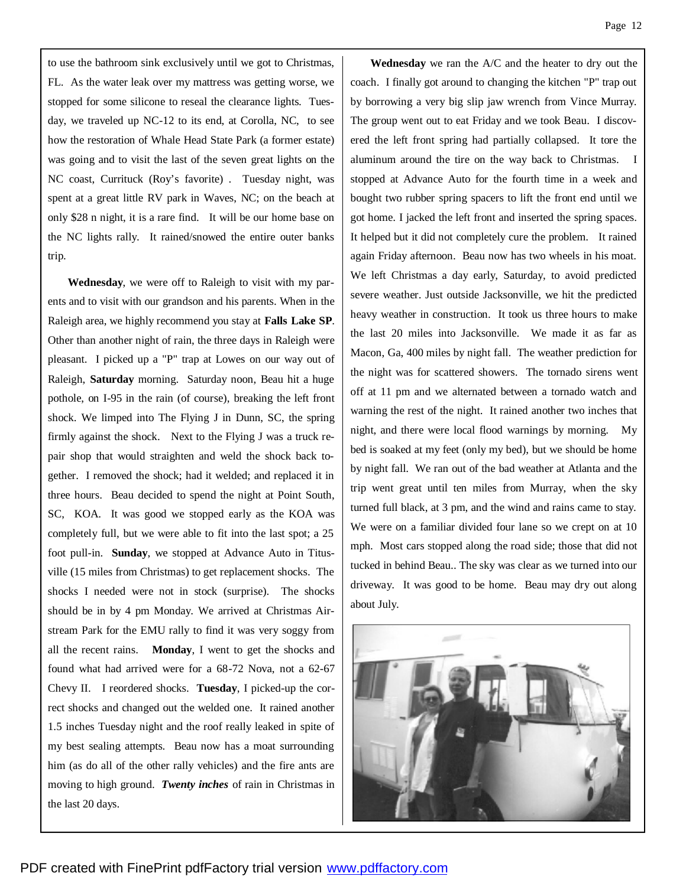to use the bathroom sink exclusively until we got to Christmas, FL. As the water leak over my mattress was getting worse, we stopped for some silicone to reseal the clearance lights. Tuesday, we traveled up NC-12 to its end, at Corolla, NC, to see how the restoration of Whale Head State Park (a former estate) was going and to visit the last of the seven great lights on the NC coast, Currituck (Roy's favorite) . Tuesday night, was spent at a great little RV park in Waves, NC; on the beach at only \$28 n night, it is a rare find. It will be our home base on the NC lights rally. It rained/snowed the entire outer banks trip.

 **Wednesday**, we were off to Raleigh to visit with my parents and to visit with our grandson and his parents. When in the Raleigh area, we highly recommend you stay at **Falls Lake SP**. Other than another night of rain, the three days in Raleigh were pleasant. I picked up a "P" trap at Lowes on our way out of Raleigh, **Saturday** morning. Saturday noon, Beau hit a huge pothole, on I-95 in the rain (of course), breaking the left front shock. We limped into The Flying J in Dunn, SC, the spring firmly against the shock. Next to the Flying J was a truck repair shop that would straighten and weld the shock back together. I removed the shock; had it welded; and replaced it in three hours. Beau decided to spend the night at Point South, SC, KOA. It was good we stopped early as the KOA was completely full, but we were able to fit into the last spot; a 25 foot pull-in. **Sunday**, we stopped at Advance Auto in Titusville (15 miles from Christmas) to get replacement shocks. The shocks I needed were not in stock (surprise). The shocks should be in by 4 pm Monday. We arrived at Christmas Airstream Park for the EMU rally to find it was very soggy from all the recent rains. **Monday**, I went to get the shocks and found what had arrived were for a 68-72 Nova, not a 62-67 Chevy II. I reordered shocks. **Tuesday**, I picked-up the correct shocks and changed out the welded one. It rained another 1.5 inches Tuesday night and the roof really leaked in spite of my best sealing attempts. Beau now has a moat surrounding him (as do all of the other rally vehicles) and the fire ants are moving to high ground. *Twenty inches* of rain in Christmas in the last 20 days.

 **Wednesday** we ran the A/C and the heater to dry out the coach. I finally got around to changing the kitchen "P" trap out by borrowing a very big slip jaw wrench from Vince Murray. The group went out to eat Friday and we took Beau. I discovered the left front spring had partially collapsed. It tore the aluminum around the tire on the way back to Christmas. I stopped at Advance Auto for the fourth time in a week and bought two rubber spring spacers to lift the front end until we got home. I jacked the left front and inserted the spring spaces. It helped but it did not completely cure the problem. It rained again Friday afternoon. Beau now has two wheels in his moat. We left Christmas a day early, Saturday, to avoid predicted severe weather. Just outside Jacksonville, we hit the predicted heavy weather in construction. It took us three hours to make the last 20 miles into Jacksonville. We made it as far as Macon, Ga, 400 miles by night fall. The weather prediction for the night was for scattered showers. The tornado sirens went off at 11 pm and we alternated between a tornado watch and warning the rest of the night. It rained another two inches that night, and there were local flood warnings by morning. My bed is soaked at my feet (only my bed), but we should be home by night fall. We ran out of the bad weather at Atlanta and the trip went great until ten miles from Murray, when the sky turned full black, at 3 pm, and the wind and rains came to stay. We were on a familiar divided four lane so we crept on at 10 mph. Most cars stopped along the road side; those that did not tucked in behind Beau.. The sky was clear as we turned into our driveway. It was good to be home. Beau may dry out along about July.

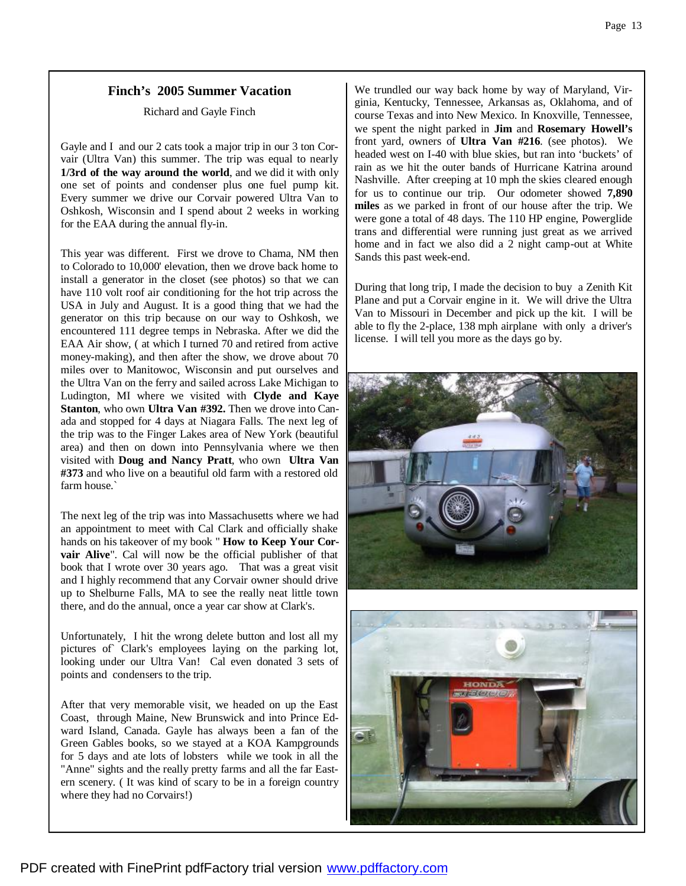### **Finch's 2005 Summer Vacation**

Richard and Gayle Finch

Gayle and I and our 2 cats took a major trip in our 3 ton Corvair (Ultra Van) this summer. The trip was equal to nearly **1/3rd of the way around the world**, and we did it with only one set of points and condenser plus one fuel pump kit. Every summer we drive our Corvair powered Ultra Van to Oshkosh, Wisconsin and I spend about 2 weeks in working for the EAA during the annual fly-in.

This year was different. First we drove to Chama, NM then to Colorado to 10,000' elevation, then we drove back home to install a generator in the closet (see photos) so that we can have 110 volt roof air conditioning for the hot trip across the USA in July and August. It is a good thing that we had the generator on this trip because on our way to Oshkosh, we encountered 111 degree temps in Nebraska. After we did the EAA Air show, ( at which I turned 70 and retired from active money-making), and then after the show, we drove about 70 miles over to Manitowoc, Wisconsin and put ourselves and the Ultra Van on the ferry and sailed across Lake Michigan to Ludington, MI where we visited with **Clyde and Kaye Stanton**, who own **Ultra Van #392.** Then we drove into Canada and stopped for 4 days at Niagara Falls. The next leg of the trip was to the Finger Lakes area of New York (beautiful area) and then on down into Pennsylvania where we then visited with **Doug and Nancy Pratt**, who own **Ultra Van #373** and who live on a beautiful old farm with a restored old farm house.`

The next leg of the trip was into Massachusetts where we had an appointment to meet with Cal Clark and officially shake hands on his takeover of my book " **How to Keep Your Corvair Alive**". Cal will now be the official publisher of that book that I wrote over 30 years ago. That was a great visit and I highly recommend that any Corvair owner should drive up to Shelburne Falls, MA to see the really neat little town there, and do the annual, once a year car show at Clark's.

Unfortunately, I hit the wrong delete button and lost all my pictures of Clark's employees laying on the parking lot, looking under our Ultra Van! Cal even donated 3 sets of points and condensers to the trip.

After that very memorable visit, we headed on up the East Coast, through Maine, New Brunswick and into Prince Edward Island, Canada. Gayle has always been a fan of the Green Gables books, so we stayed at a KOA Kampgrounds for 5 days and ate lots of lobsters while we took in all the "Anne" sights and the really pretty farms and all the far Eastern scenery. ( It was kind of scary to be in a foreign country where they had no Corvairs!)

We trundled our way back home by way of Maryland, Virginia, Kentucky, Tennessee, Arkansas as, Oklahoma, and of course Texas and into New Mexico. In Knoxville, Tennessee, we spent the night parked in **Jim** and **Rosemary Howell's**  front yard, owners of **Ultra Van #216**. (see photos). We headed west on I-40 with blue skies, but ran into 'buckets' of rain as we hit the outer bands of Hurricane Katrina around Nashville. After creeping at 10 mph the skies cleared enough for us to continue our trip. Our odometer showed **7,890 miles** as we parked in front of our house after the trip. We were gone a total of 48 days. The 110 HP engine, Powerglide trans and differential were running just great as we arrived home and in fact we also did a 2 night camp-out at White Sands this past week-end.

During that long trip, I made the decision to buy a Zenith Kit Plane and put a Corvair engine in it. We will drive the Ultra Van to Missouri in December and pick up the kit. I will be able to fly the 2-place, 138 mph airplane with only a driver's license. I will tell you more as the days go by.



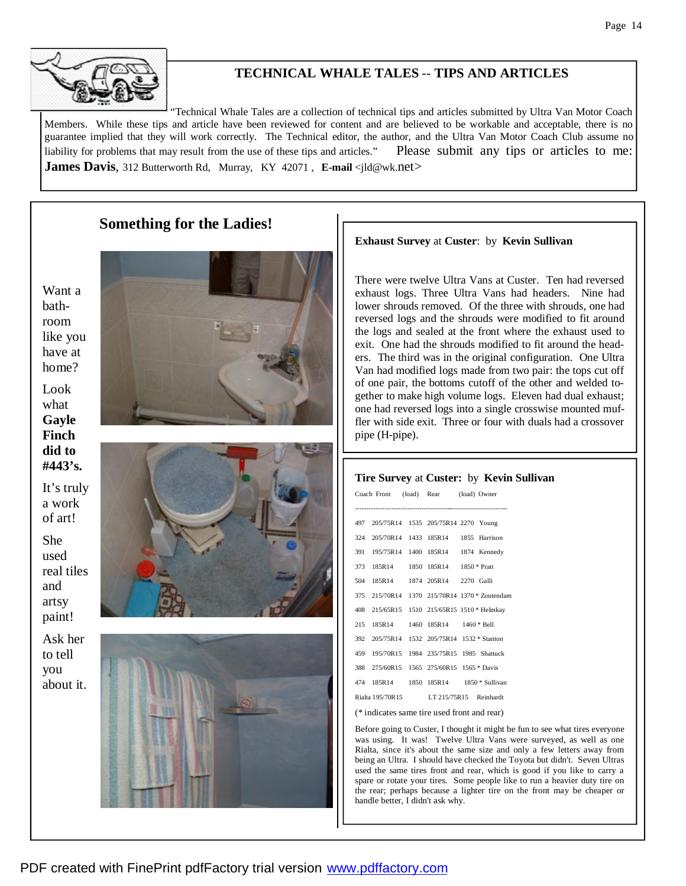## **TECHNICAL WHALE TALES** -- **TIPS AND ARTICLES**

"Technical Whale Tales are a collection of technical tips and articles submitted by Ultra Van Motor Coach Members. While these tips and article have been reviewed for content and are believed to be workable and acceptable, there is no guarantee implied that they will work correctly. The Technical editor, the author, and the Ultra Van Motor Coach Club assume no liability for problems that may result from the use of these tips and articles." Please submit any tips or articles to me: **James Davis**, 312 Butterworth Rd, Murray, KY 42071, **E-mail** <jld@wk.net>

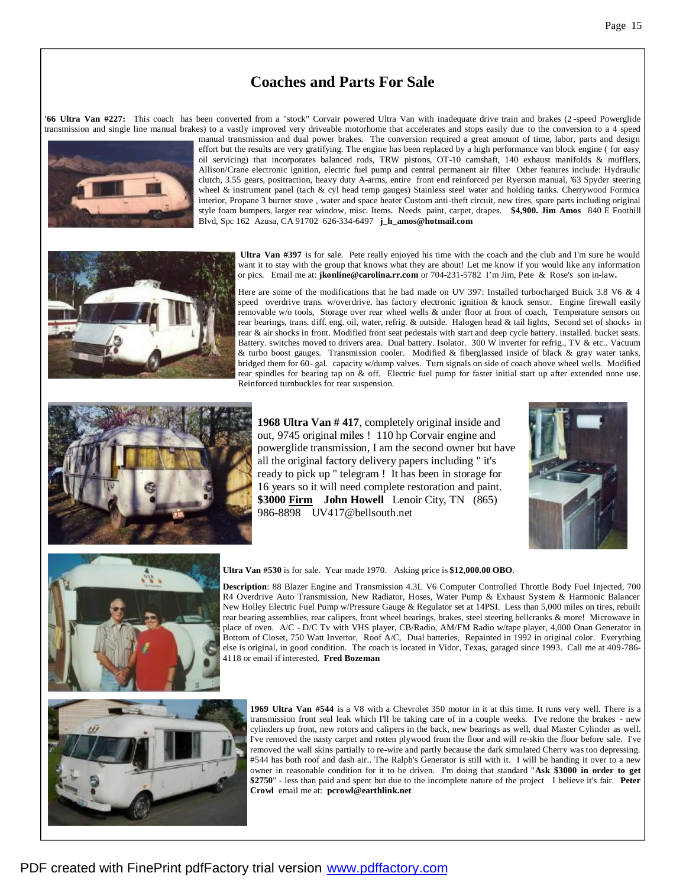## **Coaches and Parts For Sale**

**'66 Ultra Van #227:** This coach has been converted from a "stock" Corvair powered Ultra Van with inadequate drive train and brakes (2 -speed Powerglide transmission and single line manual brakes) to a vastly improved very driveable motorhome that accelerates and stops easily due to the conversion to a 4 speed





manual transmission and dual power brakes. The conversion required a great amount of time, labor, parts and design effort but the results are very gratifying. The engine has been replaced by a high performance van block engine ( for easy oil servicing) that incorporates balanced rods, TRW pistons, OT-10 camshaft, 140 exhaust manifolds & mufflers, Allison/Crane electronic ignition, electric fuel pump and central permanent air filter Other features include: Hydraulic clutch, 3.55 gears, positraction, heavy duty A-arms, entire front end reinforced per Ryerson manual, '63 Spyder steering wheel & instrument panel (tach & cyl head temp gauges) Stainless steel water and holding tanks. Cherrywood Formica interior, Propane 3 burner stove , water and space heater Custom anti-theft circuit, new tires, spare parts including original style foam bumpers, larger rear window, misc. Items. Needs paint, carpet, drapes. **\$4,900. Jim Amos** 840 E Foothill Blvd, Spc 162 Azusa, CA 91702 626-334-6497 **j\_h\_amos@hotmail.com**

**Ultra Van #397** is for sale. Pete really enjoyed his time with the coach and the club and I'm sure he would want it to stay with the group that knows what they are about! Let me know if you would like any information or pics. Email me at: **jkonline@carolina.rr.com** or 704-231-5782 I'm Jim, Pete & Rose's son in-law**.**

Here are some of the modifications that he had made on UV 397: Installed turbocharged Buick 3.8 V6 & 4 speed overdrive trans. w/overdrive. has factory electronic ignition & knock sensor. Engine firewall easily removable w/o tools, Storage over rear wheel wells & under floor at front of coach, Temperature sensors on rear bearings, trans. diff. eng. oil, water, refrig. & outside. Halogen head & tail lights, Second set of shocks in rear & air shocks in front. Modified front seat pedestals with start and deep cycle battery. installed. bucket seats. Battery. switches moved to drivers area. Dual battery. Isolator. 300 W inverter for refrig., TV & etc.. Vacuum & turbo boost gauges. Transmission cooler. Modified & fiberglassed inside of black & gray water tanks, bridged them for 60- gal. capacity w/dump valves. Turn signals on side of coach above wheel wells. Modified rear spindles for bearing tap on & off. Electric fuel pump for faster initial start up after extended none use. Reinforced turnbuckles for rear suspension.



**1968 Ultra Van # 417**, completely original inside and out, 9745 original miles ! 110 hp Corvair engine and powerglide transmission, I am the second owner but have all the original factory delivery papers including " it's ready to pick up " telegram ! It has been in storage for 16 years so it will need complete restoration and paint. **\$3000 Firm John Howell** Lenoir City, TN (865) 986-8898 UV417@bellsouth.net





### **Ultra Van #530** is for sale. Year made 1970. Asking price is **\$12,000.00 OBO**.

**Description**: 88 Blazer Engine and Transmission 4.3L V6 Computer Controlled Throttle Body Fuel Injected, 700 R4 Overdrive Auto Transmission, New Radiator, Hoses, Water Pump & Exhaust System & Harmonic Balancer New Holley Electric Fuel Pump w/Pressure Gauge & Regulator set at 14PSI. Less than 5,000 miles on tires, rebuilt rear bearing assemblies, rear calipers, front wheel bearings, brakes, steel steering bellcranks & more! Microwave in place of oven. A/C - D/C Tv with VHS player, CB/Radio, AM/FM Radio w/tape player, 4,000 Onan Generator in Bottom of Closet, 750 Watt Invertor, Roof A/C, Dual batteries, Repainted in 1992 in original color. Everything else is original, in good condition. The coach is located in Vidor, Texas, garaged since 1993. Call me at 409-786- 4118 or email if interested. **Fred Bozeman**



**1969 Ultra Van #544** is a V8 with a Chevrolet 350 motor in it at this time. It runs very well. There is a transmission front seal leak which I'll be taking care of in a couple weeks. I've redone the brakes - new cylinders up front, new rotors and calipers in the back, new bearings as well, dual Master Cylinder as well. I've removed the nasty carpet and rotten plywood from the floor and will re-skin the floor before sale. I've removed the wall skins partially to re-wire and partly because the dark simulated Cherry was too depressing. #544 has both roof and dash air.. The Ralph's Generator is still with it. I will be handing it over to a new owner in reasonable condition for it to be driven. I'm doing that standard "**Ask \$3000 in order to get \$2750**" - less than paid and spent but due to the incomplete nature of the project I believe it's fair. **Peter Crowl** email me at: **pcrowl@earthlink.net**